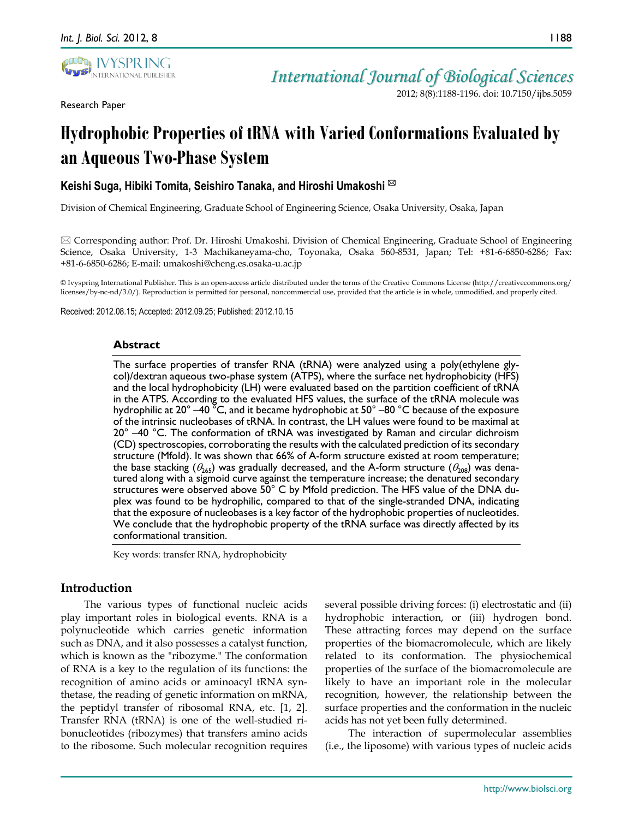

Research Paper

# *International Journal of Biological Sciences*

2012; 8(8):1188-1196. doi: 10.7150/ijbs.5059

# **Hydrophobic Properties of tRNA with Varied Conformations Evaluated by an Aqueous Two-Phase System**

# **Keishi Suga, Hibiki Tomita, Seishiro Tanaka, and Hiroshi Umakoshi**

Division of Chemical Engineering, Graduate School of Engineering Science, Osaka University, Osaka, Japan

 Corresponding author: Prof. Dr. Hiroshi Umakoshi. Division of Chemical Engineering, Graduate School of Engineering Science, Osaka University, 1-3 Machikaneyama-cho, Toyonaka, Osaka 560-8531, Japan; Tel: +81-6-6850-6286; Fax: +81-6-6850-6286; E-mail: umakoshi@cheng.es.osaka-u.ac.jp

© Ivyspring International Publisher. This is an open-access article distributed under the terms of the Creative Commons License (http://creativecommons.org/ licenses/by-nc-nd/3.0/). Reproduction is permitted for personal, noncommercial use, provided that the article is in whole, unmodified, and properly cited.

Received: 2012.08.15; Accepted: 2012.09.25; Published: 2012.10.15

#### **Abstract**

The surface properties of transfer RNA (tRNA) were analyzed using a poly(ethylene glycol)/dextran aqueous two-phase system (ATPS), where the surface net hydrophobicity (HFS) and the local hydrophobicity (LH) were evaluated based on the partition coefficient of tRNA in the ATPS. According to the evaluated HFS values, the surface of the tRNA molecule was hydrophilic at 20° –40 °C, and it became hydrophobic at 50° –80 °C because of the exposure of the intrinsic nucleobases of tRNA. In contrast, the LH values were found to be maximal at 20° –40 °C. The conformation of tRNA was investigated by Raman and circular dichroism (CD) spectroscopies, corroborating the results with the calculated prediction of its secondary structure (Mfold). It was shown that 66% of A-form structure existed at room temperature; the base stacking ( $\theta_{265}$ ) was gradually decreased, and the A-form structure ( $\theta_{208}$ ) was denatured along with a sigmoid curve against the temperature increase; the denatured secondary structures were observed above 50° C by Mfold prediction. The HFS value of the DNA duplex was found to be hydrophilic, compared to that of the single-stranded DNA, indicating that the exposure of nucleobases is a key factor of the hydrophobic properties of nucleotides. We conclude that the hydrophobic property of the tRNA surface was directly affected by its conformational transition.

Key words: transfer RNA, hydrophobicity

#### **Introduction**

The various types of functional nucleic acids play important roles in biological events. RNA is a polynucleotide which carries genetic information such as DNA, and it also possesses a catalyst function, which is known as the "ribozyme." The conformation of RNA is a key to the regulation of its functions: the recognition of amino acids or aminoacyl tRNA synthetase, the reading of genetic information on mRNA, the peptidyl transfer of ribosomal RNA, etc. [1, 2]. Transfer RNA (tRNA) is one of the well-studied ribonucleotides (ribozymes) that transfers amino acids to the ribosome. Such molecular recognition requires several possible driving forces: (i) electrostatic and (ii) hydrophobic interaction, or (iii) hydrogen bond. These attracting forces may depend on the surface properties of the biomacromolecule, which are likely related to its conformation. The physiochemical properties of the surface of the biomacromolecule are likely to have an important role in the molecular recognition, however, the relationship between the surface properties and the conformation in the nucleic acids has not yet been fully determined.

The interaction of supermolecular assemblies (i.e., the liposome) with various types of nucleic acids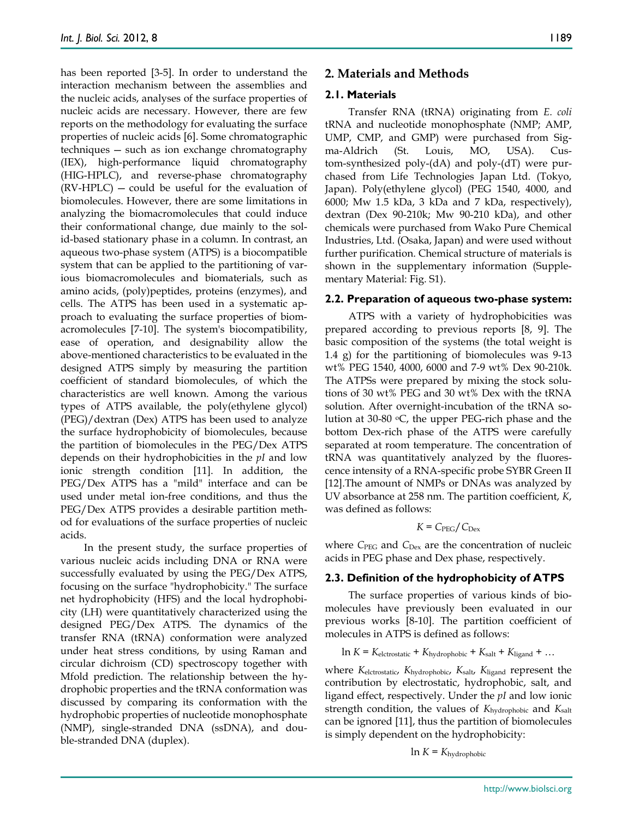has been reported [3-5]. In order to understand the interaction mechanism between the assemblies and the nucleic acids, analyses of the surface properties of nucleic acids are necessary. However, there are few reports on the methodology for evaluating the surface properties of nucleic acids [6]. Some chromatographic techniques — such as ion exchange chromatography (IEX), high-performance liquid chromatography (HIG-HPLC), and reverse-phase chromatography (RV-HPLC) — could be useful for the evaluation of biomolecules. However, there are some limitations in analyzing the biomacromolecules that could induce their conformational change, due mainly to the solid-based stationary phase in a column. In contrast, an aqueous two-phase system (ATPS) is a biocompatible system that can be applied to the partitioning of various biomacromolecules and biomaterials, such as amino acids, (poly)peptides, proteins (enzymes), and cells. The ATPS has been used in a systematic approach to evaluating the surface properties of biomacromolecules [7-10]. The system's biocompatibility, ease of operation, and designability allow the above-mentioned characteristics to be evaluated in the designed ATPS simply by measuring the partition coefficient of standard biomolecules, of which the characteristics are well known. Among the various types of ATPS available, the poly(ethylene glycol) (PEG)/dextran (Dex) ATPS has been used to analyze the surface hydrophobicity of biomolecules, because the partition of biomolecules in the PEG/Dex ATPS depends on their hydrophobicities in the *pI* and low ionic strength condition [11]. In addition, the PEG/Dex ATPS has a "mild" interface and can be used under metal ion-free conditions, and thus the PEG/Dex ATPS provides a desirable partition method for evaluations of the surface properties of nucleic acids.

In the present study, the surface properties of various nucleic acids including DNA or RNA were successfully evaluated by using the PEG/Dex ATPS, focusing on the surface "hydrophobicity." The surface net hydrophobicity (HFS) and the local hydrophobicity (LH) were quantitatively characterized using the designed PEG/Dex ATPS. The dynamics of the transfer RNA (tRNA) conformation were analyzed under heat stress conditions, by using Raman and circular dichroism (CD) spectroscopy together with Mfold prediction. The relationship between the hydrophobic properties and the tRNA conformation was discussed by comparing its conformation with the hydrophobic properties of nucleotide monophosphate (NMP), single-stranded DNA (ssDNA), and double-stranded DNA (duplex).

#### **2. Materials and Methods**

#### **2.1. Materials**

Transfer RNA (tRNA) originating from *E. coli* tRNA and nucleotide monophosphate (NMP; AMP, UMP, CMP, and GMP) were purchased from Sigma-Aldrich (St. Louis, MO, USA). Custom-synthesized poly-(dA) and poly-(dT) were purchased from Life Technologies Japan Ltd. (Tokyo, Japan). Poly(ethylene glycol) (PEG 1540, 4000, and 6000; Mw 1.5 kDa, 3 kDa and 7 kDa, respectively), dextran (Dex 90-210k; Mw 90-210 kDa), and other chemicals were purchased from Wako Pure Chemical Industries, Ltd. (Osaka, Japan) and were used without further purification. Chemical structure of materials is shown in the supplementary information (Supplementary Material: Fig. S1).

#### **2.2. Preparation of aqueous two-phase system:**

ATPS with a variety of hydrophobicities was prepared according to previous reports [8, 9]. The basic composition of the systems (the total weight is 1.4 g) for the partitioning of biomolecules was 9-13 wt% PEG 1540, 4000, 6000 and 7-9 wt% Dex 90-210k. The ATPSs were prepared by mixing the stock solutions of 30 wt% PEG and 30 wt% Dex with the tRNA solution. After overnight-incubation of the tRNA solution at 30-80  $\circ$ C, the upper PEG-rich phase and the bottom Dex-rich phase of the ATPS were carefully separated at room temperature. The concentration of tRNA was quantitatively analyzed by the fluorescence intensity of a RNA-specific probe SYBR Green II [12].The amount of NMPs or DNAs was analyzed by UV absorbance at 258 nm. The partition coefficient, *K*, was defined as follows:

$$
K=C_{\rm PEG}/\,C_{\rm Dev}
$$

where *C*<sub>PEG</sub> and *C*<sub>Dex</sub> are the concentration of nucleic acids in PEG phase and Dex phase, respectively.

#### **2.3. Definition of the hydrophobicity of ATPS**

The surface properties of various kinds of biomolecules have previously been evaluated in our previous works [8-10]. The partition coefficient of molecules in ATPS is defined as follows:

$$
\ln K = K_{\text{electrostatic}} + K_{\text{hydrophobic}} + K_{\text{salt}} + K_{\text{ligand}} + \dots
$$

where *K*elctrostatic, *K*hydrophobic, *K*salt, *K*ligand represent the contribution by electrostatic, hydrophobic, salt, and ligand effect, respectively. Under the *pI* and low ionic strength condition, the values of *K*hydrophobic and *K*salt can be ignored [11], thus the partition of biomolecules is simply dependent on the hydrophobicity:

ln *K* = *K*hydrophobic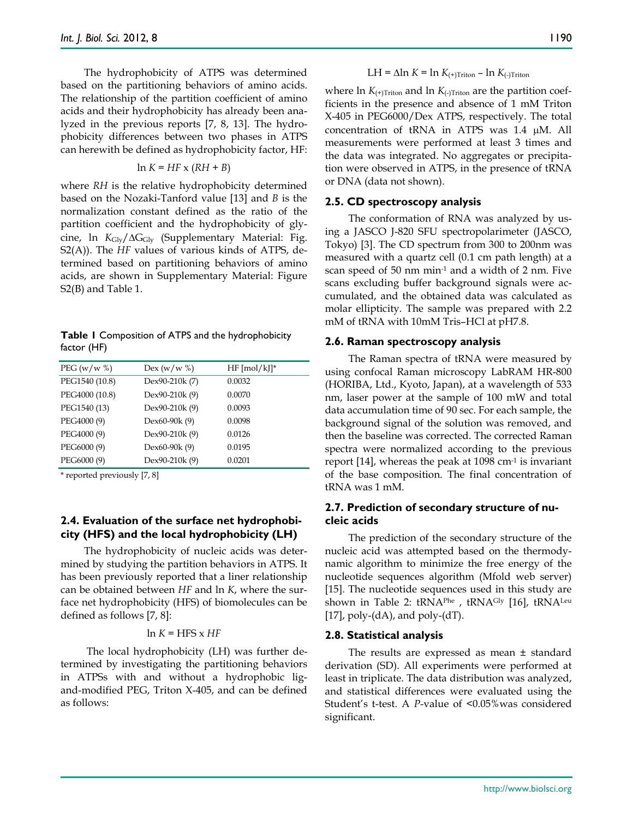The hydrophobicity of ATPS was determined based on the partitioning behaviors of amino acids. The relationship of the partition coefficient of amino acids and their hydrophobicity has already been analyzed in the previous reports [7, 8, 13]. The hydrophobicity differences between two phases in ATPS can herewith be defined as hydrophobicity factor, HF:

$$
\ln K = HF \times (RH + B)
$$

where *RH* is the relative hydrophobicity determined based on the Nozaki-Tanford value [13] and *B* is the normalization constant defined as the ratio of the partition coefficient and the hydrophobicity of glycine, ln *K*Gly/∆GGly (Supplementary Material: Fig. S2(A)). The *HF* values of various kinds of ATPS, determined based on partitioning behaviors of amino acids, are shown in Supplementary Material: Figure S2(B) and Table 1.

**Table 1** Composition of ATPS and the hydrophobicity factor (HF)

| PEG(w/w %)     | Dex $(w/w \%)$ | $HF[mol/k]$ * |
|----------------|----------------|---------------|
| PEG1540 (10.8) | Dex90-210k (7) | 0.0032        |
| PEG4000 (10.8) | Dex90-210k (9) | 0.0070        |
| PEG1540 (13)   | Dex90-210k (9) | 0.0093        |
| PEG4000 (9)    | Dex60-90k (9)  | 0.0098        |
| PEG4000 (9)    | Dex90-210k (9) | 0.0126        |
| PEG6000 (9)    | Dex60-90k (9)  | 0.0195        |
| PEG6000 (9)    | Dex90-210k (9) | 0.0201        |
|                |                |               |

\* reported previously [7, 8]

# **2.4. Evaluation of the surface net hydrophobicity (HFS) and the local hydrophobicity (LH)**

The hydrophobicity of nucleic acids was determined by studying the partition behaviors in ATPS. It has been previously reported that a liner relationship can be obtained between *HF* and ln *K*, where the surface net hydrophobicity (HFS) of biomolecules can be defined as follows [7, 8]:

#### $ln K = HFS \times HF$

The local hydrophobicity (LH) was further determined by investigating the partitioning behaviors in ATPSs with and without a hydrophobic ligand-modified PEG, Triton X-405, and can be defined as follows:

$$
LH = \Delta \ln K = \ln K_{(+)Triton} - \ln K_{(-)Triton}
$$

where  $\ln K$ <sub>(+)Triton</sub> and  $\ln K$ <sub>(-)Triton</sub> are the partition coefficients in the presence and absence of 1 mM Triton X-405 in PEG6000/Dex ATPS, respectively. The total concentration of tRNA in ATPS was 1.4 µM. All measurements were performed at least 3 times and the data was integrated. No aggregates or precipitation were observed in ATPS, in the presence of tRNA or DNA (data not shown).

#### **2.5. CD spectroscopy analysis**

The conformation of RNA was analyzed by using a JASCO J-820 SFU spectropolarimeter (JASCO, Tokyo) [3]. The CD spectrum from 300 to 200nm was measured with a quartz cell (0.1 cm path length) at a scan speed of 50 nm min-1 and a width of 2 nm. Five scans excluding buffer background signals were accumulated, and the obtained data was calculated as molar ellipticity. The sample was prepared with 2.2 mM of tRNA with 10mM Tris–HCl at pH7.8.

#### **2.6. Raman spectroscopy analysis**

The Raman spectra of tRNA were measured by using confocal Raman microscopy LabRAM HR-800 (HORIBA, Ltd., Kyoto, Japan), at a wavelength of 533 nm, laser power at the sample of 100 mW and total data accumulation time of 90 sec. For each sample, the background signal of the solution was removed, and then the baseline was corrected. The corrected Raman spectra were normalized according to the previous report  $[14]$ , whereas the peak at 1098 cm<sup>-1</sup> is invariant of the base composition. The final concentration of tRNA was 1 mM.

# **2.7. Prediction of secondary structure of nucleic acids**

The prediction of the secondary structure of the nucleic acid was attempted based on the thermodynamic algorithm to minimize the free energy of the nucleotide sequences algorithm (Mfold web server) [15]. The nucleotide sequences used in this study are shown in Table 2: tRNA<sup>Phe</sup>, tRNA<sup>Gly</sup> [16], tRNA<sup>Leu</sup> [17],  $poly-(dA)$ , and  $poly-(dT)$ .

#### **2.8. Statistical analysis**

The results are expressed as mean ± standard derivation (SD). All experiments were performed at least in triplicate. The data distribution was analyzed, and statistical differences were evaluated using the Student's t-test. A *P*-value of <0.05%was considered significant.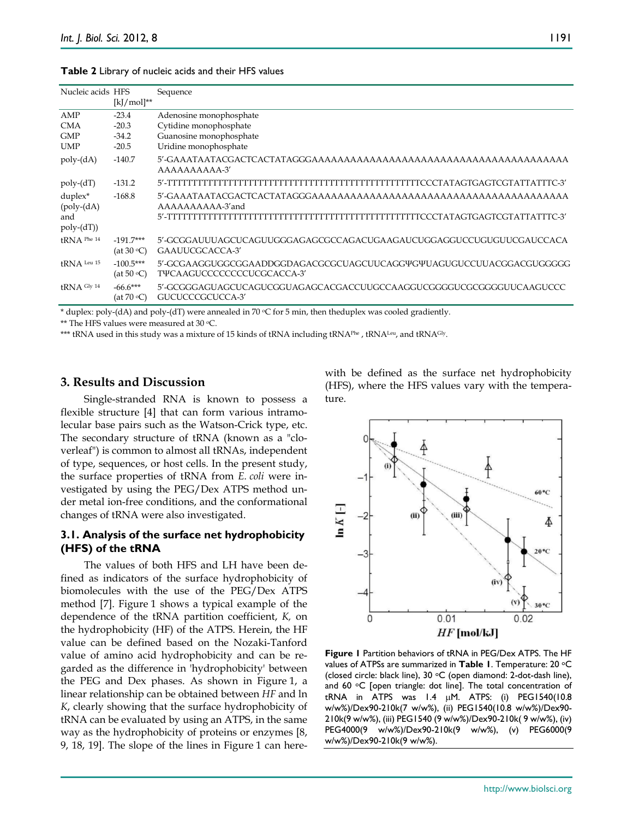| Table 2 Library of nucleic acids and their HFS values |  |
|-------------------------------------------------------|--|
|-------------------------------------------------------|--|

| Nucleic acids HFS        | $[k]/mol$ <sup>**</sup>            | Sequence                                                                                          |
|--------------------------|------------------------------------|---------------------------------------------------------------------------------------------------|
| AMP                      | $-23.4$                            | Adenosine monophosphate                                                                           |
| <b>CMA</b>               | $-20.3$                            | Cytidine monophosphate                                                                            |
| <b>GMP</b>               | $-34.2$                            | Guanosine monophosphate                                                                           |
| <b>UMP</b>               | $-20.5$                            | Uridine monophosphate                                                                             |
| $poly-dA)$               | $-140.7$                           | AAAAAAAAAA-3                                                                                      |
| $poly-dT)$               | $-131.2$                           |                                                                                                   |
| duplex*<br>$(poly-(dA))$ | $-168.8$                           | AAAAAAAAAA-3'and                                                                                  |
| and<br>$poly-dT)$        |                                    | 'CCCTATAGTGAGTCGTATTATTTC-3'                                                                      |
| tRNA Phe 14              | $-191.7***$<br>(at $30 °C$ )       | 5'-GCGGAUUUAGCUCAGUUGGGAGAGCGCCAGACUGAAGAUCUGGAGGUCCUGUGUUCGAUCCACA<br>GAAUUCGCACCA-3'            |
| tRNA Leu 15              | $-100.5***$<br>(at 50 $\circ$ C)   | 5'-GCGAAGGUGGCGGAADDGGDAGACGCGCUAGCUUCAGGYGYUAGUGUCCUUACGGACGUGGGGG<br>TYCAAGUCCCCCCCCUCGCACCA-3' |
| tRNA Gly 14              | $-66.6***$<br>(at 70 $\rm ^{o}C$ ) | 5'-GCGGGAGUAGCUCAGUCGGUAGAGCACGACCUUGCCAAGGUCGGGGUCGCGGGGUUCAAGUCCC<br>GUCUCCCGCUCCA-3'           |

\* duplex: poly-(dA) and poly-(dT) were annealed in 70  $\rm{^{\circ}C}$  for 5 min, then theduplex was cooled gradiently.

\*\* The HFS values were measured at 30 °C.

\*\*\* tRNA used in this study was a mixture of 15 kinds of tRNA including tRNAPhe, tRNALeu, and tRNAGly.

# **3. Results and Discussion**

Single-stranded RNA is known to possess a flexible structure [4] that can form various intramolecular base pairs such as the Watson-Crick type, etc. The secondary structure of tRNA (known as a "cloverleaf") is common to almost all tRNAs, independent of type, sequences, or host cells. In the present study, the surface properties of tRNA from *E. coli* were investigated by using the PEG/Dex ATPS method under metal ion-free conditions, and the conformational changes of tRNA were also investigated.

# **3.1. Analysis of the surface net hydrophobicity (HFS) of the tRNA**

The values of both HFS and LH have been defined as indicators of the surface hydrophobicity of biomolecules with the use of the PEG/Dex ATPS method [7]. Figure 1 shows a typical example of the dependence of the tRNA partition coefficient, *K,* on the hydrophobicity (HF) of the ATPS. Herein, the HF value can be defined based on the Nozaki-Tanford value of amino acid hydrophobicity and can be regarded as the difference in 'hydrophobicity' between the PEG and Dex phases. As shown in Figure 1, a linear relationship can be obtained between *HF* and ln *K*, clearly showing that the surface hydrophobicity of tRNA can be evaluated by using an ATPS, in the same way as the hydrophobicity of proteins or enzymes [8, 9, 18, 19]. The slope of the lines in Figure 1 can herewith be defined as the surface net hydrophobicity (HFS), where the HFS values vary with the temperature.



**Figure 1** Partition behaviors of tRNA in PEG/Dex ATPS. The HF values of ATPSs are summarized in Table 1. Temperature: 20 °C (closed circle: black line), 30 °C (open diamond: 2-dot-dash line), and  $60$   $\degree$ C [open triangle: dot line]. The total concentration of tRNA in ATPS was 1.4 µM. ATPS: (i) PEG1540(10.8 w/w%)/Dex90-210k(7 w/w%), (ii) PEG1540(10.8 w/w%)/Dex90- 210k(9 w/w%), (iii) PEG1540 (9 w/w%)/Dex90-210k( 9 w/w%), (iv) PEG4000(9 w/w%)/Dex90-210k(9 w/w%), (v) PEG6000(9 w/w%)/Dex90-210k(9 w/w%).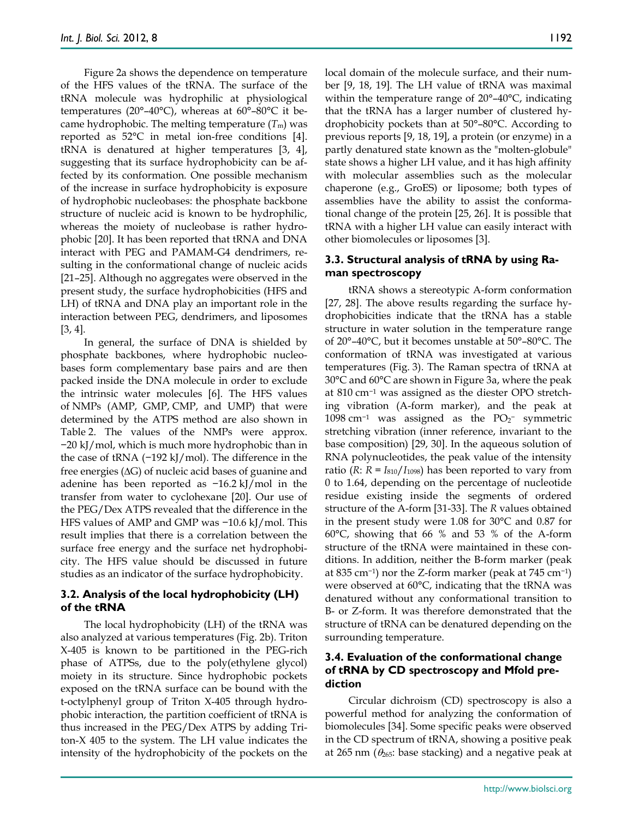Figure 2a shows the dependence on temperature of the HFS values of the tRNA. The surface of the tRNA molecule was hydrophilic at physiological temperatures (20°–40°C), whereas at 60°–80°C it became hydrophobic. The melting temperature  $(T<sub>m</sub>)$  was reported as 52°C in metal ion-free conditions [4]. tRNA is denatured at higher temperatures [3, 4], suggesting that its surface hydrophobicity can be affected by its conformation. One possible mechanism of the increase in surface hydrophobicity is exposure of hydrophobic nucleobases: the phosphate backbone structure of nucleic acid is known to be hydrophilic, whereas the moiety of nucleobase is rather hydrophobic [20]. It has been reported that tRNA and DNA interact with PEG and PAMAM-G4 dendrimers, resulting in the conformational change of nucleic acids [21–25]. Although no aggregates were observed in the present study, the surface hydrophobicities (HFS and LH) of tRNA and DNA play an important role in the interaction between PEG, dendrimers, and liposomes [3, 4].

In general, the surface of DNA is shielded by phosphate backbones, where hydrophobic nucleobases form complementary base pairs and are then packed inside the DNA molecule in order to exclude the intrinsic water molecules [6]. The HFS values of NMPs (AMP, GMP, CMP, and UMP) that were determined by the ATPS method are also shown in Table 2. The values of the NMPs were approx. −20 kJ/mol, which is much more hydrophobic than in the case of tRNA (−192 kJ/mol). The difference in the free energies (∆G) of nucleic acid bases of guanine and adenine has been reported as −16.2 kJ/mol in the transfer from water to cyclohexane [20]. Our use of the PEG/Dex ATPS revealed that the difference in the HFS values of AMP and GMP was −10.6 kJ/mol. This result implies that there is a correlation between the surface free energy and the surface net hydrophobicity. The HFS value should be discussed in future studies as an indicator of the surface hydrophobicity.

# **3.2. Analysis of the local hydrophobicity (LH) of the tRNA**

The local hydrophobicity (LH) of the tRNA was also analyzed at various temperatures (Fig. 2b). Triton X-405 is known to be partitioned in the PEG-rich phase of ATPSs, due to the poly(ethylene glycol) moiety in its structure. Since hydrophobic pockets exposed on the tRNA surface can be bound with the t-octylphenyl group of Triton X-405 through hydrophobic interaction, the partition coefficient of tRNA is thus increased in the PEG/Dex ATPS by adding Triton-X 405 to the system. The LH value indicates the intensity of the hydrophobicity of the pockets on the

local domain of the molecule surface, and their number [9, 18, 19]. The LH value of tRNA was maximal within the temperature range of 20°–40°C, indicating that the tRNA has a larger number of clustered hydrophobicity pockets than at 50°–80°C. According to previous reports [9, 18, 19], a protein (or enzyme) in a partly denatured state known as the "molten-globule" state shows a higher LH value, and it has high affinity with molecular assemblies such as the molecular chaperone (e.g., GroES) or liposome; both types of assemblies have the ability to assist the conformational change of the protein [25, 26]. It is possible that tRNA with a higher LH value can easily interact with other biomolecules or liposomes [3].

## **3.3. Structural analysis of tRNA by using Raman spectroscopy**

tRNA shows a stereotypic A-form conformation [27, 28]. The above results regarding the surface hydrophobicities indicate that the tRNA has a stable structure in water solution in the temperature range of 20°–40°C, but it becomes unstable at 50°–80°C. The conformation of tRNA was investigated at various temperatures (Fig. 3). The Raman spectra of tRNA at 30°C and 60°C are shown in Figure 3a, where the peak at 810 cm−<sup>1</sup> was assigned as the diester OPO stretching vibration (A-form marker), and the peak at  $1098 \text{ cm}^{-1}$  was assigned as the PO<sub>2</sub><sup>-</sup> symmetric stretching vibration (inner reference, invariant to the base composition) [29, 30]. In the aqueous solution of RNA polynucleotides, the peak value of the intensity ratio (*R*:  $R = I_{810}/I_{1098}$ ) has been reported to vary from 0 to 1.64, depending on the percentage of nucleotide residue existing inside the segments of ordered structure of the A-form [31-33]. The *R* values obtained in the present study were 1.08 for 30°C and 0.87 for 60°C, showing that 66 % and 53 % of the A-form structure of the tRNA were maintained in these conditions. In addition, neither the B-form marker (peak at 835 cm−1) nor the Z-form marker (peak at 745 cm−1) were observed at 60°C, indicating that the tRNA was denatured without any conformational transition to B- or Z-form. It was therefore demonstrated that the structure of tRNA can be denatured depending on the surrounding temperature.

# **3.4. Evaluation of the conformational change of tRNA by CD spectroscopy and Mfold prediction**

Circular dichroism (CD) spectroscopy is also a powerful method for analyzing the conformation of biomolecules [34]. Some specific peaks were observed in the CD spectrum of tRNA, showing a positive peak at 265 nm ( $\theta_{265}$ : base stacking) and a negative peak at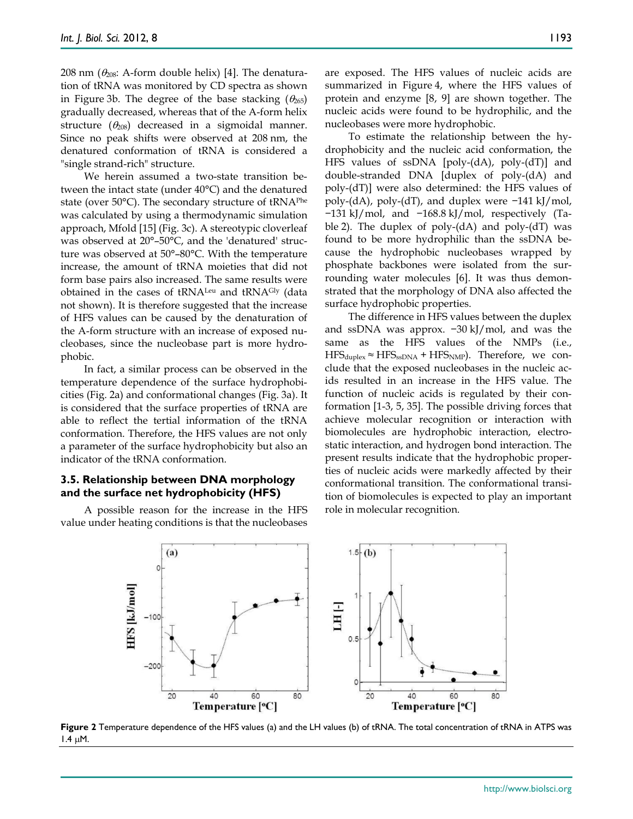208 nm ( $\theta_{208}$ : A-form double helix) [4]. The denaturation of tRNA was monitored by CD spectra as shown in Figure 3b. The degree of the base stacking  $(\theta_{265})$ gradually decreased, whereas that of the A-form helix structure  $(\theta_{208})$  decreased in a sigmoidal manner. Since no peak shifts were observed at 208 nm, the denatured conformation of tRNA is considered a "single strand-rich" structure.

We herein assumed a two-state transition between the intact state (under 40°C) and the denatured state (over 50°C). The secondary structure of tRNAPhe was calculated by using a thermodynamic simulation approach, Mfold [15] (Fig. 3c). A stereotypic cloverleaf was observed at 20°–50°C, and the 'denatured' structure was observed at 50°–80°C. With the temperature increase, the amount of tRNA moieties that did not form base pairs also increased. The same results were obtained in the cases of tRNALeu and tRNAGly (data not shown). It is therefore suggested that the increase of HFS values can be caused by the denaturation of the A-form structure with an increase of exposed nucleobases, since the nucleobase part is more hydrophobic.

In fact, a similar process can be observed in the temperature dependence of the surface hydrophobicities (Fig. 2a) and conformational changes (Fig. 3a). It is considered that the surface properties of tRNA are able to reflect the tertial information of the tRNA conformation. Therefore, the HFS values are not only a parameter of the surface hydrophobicity but also an indicator of the tRNA conformation.

# **3.5. Relationship between DNA morphology and the surface net hydrophobicity (HFS)**

A possible reason for the increase in the HFS value under heating conditions is that the nucleobases are exposed. The HFS values of nucleic acids are summarized in Figure 4, where the HFS values of protein and enzyme [8, 9] are shown together. The nucleic acids were found to be hydrophilic, and the nucleobases were more hydrophobic.

To estimate the relationship between the hydrophobicity and the nucleic acid conformation, the HFS values of ssDNA [poly-(dA), poly-(dT)] and double-stranded DNA [duplex of poly-(dA) and poly-(dT)] were also determined: the HFS values of poly-(dA), poly-(dT), and duplex were −141 kJ/mol, −131 kJ/mol, and −168.8 kJ/mol, respectively (Table 2). The duplex of poly- $(dA)$  and poly- $(dT)$  was found to be more hydrophilic than the ssDNA because the hydrophobic nucleobases wrapped by phosphate backbones were isolated from the surrounding water molecules [6]. It was thus demonstrated that the morphology of DNA also affected the surface hydrophobic properties.

The difference in HFS values between the duplex and ssDNA was approx. −30 kJ/mol, and was the same as the HFS values of the NMPs (i.e.,  $HFS_{\text{duplex}} \approx HFS_{\text{ssDNA}} + HFS_{\text{NMP}}$ . Therefore, we conclude that the exposed nucleobases in the nucleic acids resulted in an increase in the HFS value. The function of nucleic acids is regulated by their conformation [1-3, 5, 35]. The possible driving forces that achieve molecular recognition or interaction with biomolecules are hydrophobic interaction, electrostatic interaction, and hydrogen bond interaction. The present results indicate that the hydrophobic properties of nucleic acids were markedly affected by their conformational transition. The conformational transition of biomolecules is expected to play an important role in molecular recognition.



**Figure 2** Temperature dependence of the HFS values (a) and the LH values (b) of tRNA. The total concentration of tRNA in ATPS was  $1.4 \mu M$ .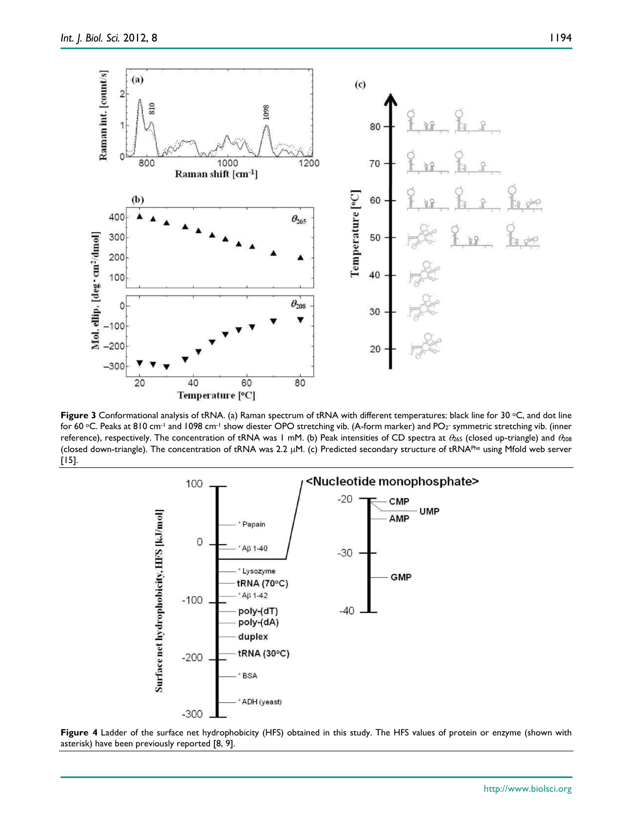

Figure 3 Conformational analysis of tRNA. (a) Raman spectrum of tRNA with different temperatures: black line for 30 °C, and dot line for 60 °C. Peaks at 810 cm<sup>-1</sup> and 1098 cm<sup>-1</sup> show diester OPO stretching vib. (A-form marker) and PO<sub>2</sub> symmetric stretching vib. (inner reference), respectively. The concentration of tRNA was 1 mM. (b) Peak intensities of CD spectra at  $\theta_{265}$  (closed up-triangle) and  $\theta_{208}$ (closed down-triangle). The concentration of tRNA was 2.2 µM. (c) Predicted secondary structure of tRNAPhe using Mfold web server [15].



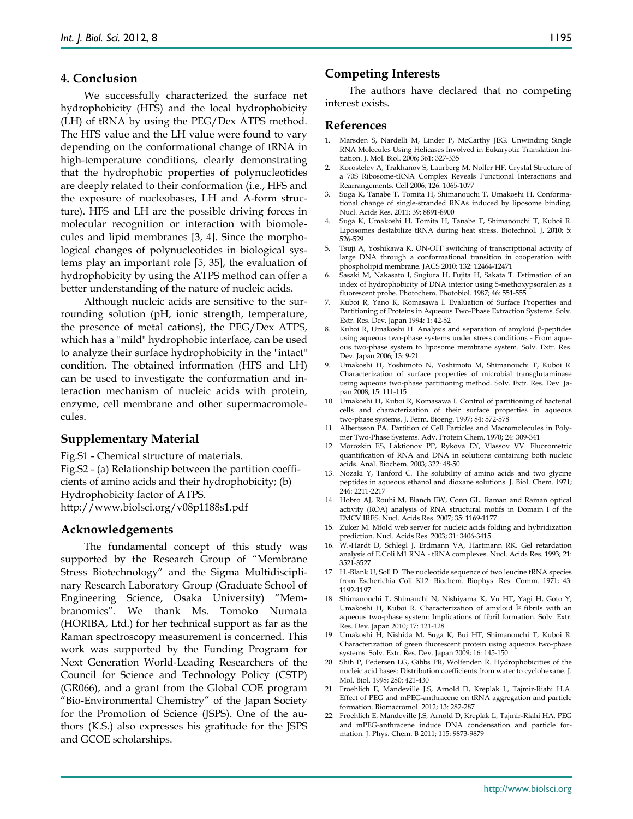#### **4. Conclusion**

We successfully characterized the surface net hydrophobicity (HFS) and the local hydrophobicity (LH) of tRNA by using the PEG/Dex ATPS method. The HFS value and the LH value were found to vary depending on the conformational change of tRNA in high-temperature conditions, clearly demonstrating that the hydrophobic properties of polynucleotides are deeply related to their conformation (i.e., HFS and the exposure of nucleobases, LH and A-form structure). HFS and LH are the possible driving forces in molecular recognition or interaction with biomolecules and lipid membranes [3, 4]. Since the morphological changes of polynucleotides in biological systems play an important role [5, 35], the evaluation of hydrophobicity by using the ATPS method can offer a better understanding of the nature of nucleic acids.

Although nucleic acids are sensitive to the surrounding solution (pH, ionic strength, temperature, the presence of metal cations), the PEG/Dex ATPS, which has a "mild" hydrophobic interface, can be used to analyze their surface hydrophobicity in the "intact" condition. The obtained information (HFS and LH) can be used to investigate the conformation and interaction mechanism of nucleic acids with protein, enzyme, cell membrane and other supermacromolecules.

#### **Supplementary Material**

Fig.S1 - Chemical structure of materials. Fig.S2 - (a) Relationship between the partition coefficients of amino acids and their hydrophobicity; (b) Hydrophobicity factor of ATPS. http://www.biolsci.org/v08p1188s1.pdf

#### **Acknowledgements**

The fundamental concept of this study was supported by the Research Group of "Membrane Stress Biotechnology" and the Sigma Multidisciplinary Research Laboratory Group (Graduate School of Engineering Science, Osaka University) "Membranomics". We thank Ms. Tomoko Numata (HORIBA, Ltd.) for her technical support as far as the Raman spectroscopy measurement is concerned. This work was supported by the Funding Program for Next Generation World-Leading Researchers of the Council for Science and Technology Policy (CSTP) (GR066), and a grant from the Global COE program "Bio-Environmental Chemistry" of the Japan Society for the Promotion of Science (JSPS). One of the authors (K.S.) also expresses his gratitude for the JSPS and GCOE scholarships.

#### **Competing Interests**

The authors have declared that no competing interest exists.

#### **References**

- 1. Marsden S, Nardelli M, Linder P, McCarthy JEG. Unwinding Single RNA Molecules Using Helicases Involved in Eukaryotic Translation Initiation. J. Mol. Biol. 2006; 361: 327-335
- 2. Korostelev A, Trakhanov S, Laurberg M, Noller HF. Crystal Structure of a 70S Ribosome-tRNA Complex Reveals Functional Interactions and Rearrangements. Cell 2006; 126: 1065-1077
- 3. Suga K, Tanabe T, Tomita H, Shimanouchi T, Umakoshi H. Conformational change of single-stranded RNAs induced by liposome binding. Nucl. Acids Res. 2011; 39: 8891-8900
- 4. Suga K, Umakoshi H, Tomita H, Tanabe T, Shimanouchi T, Kuboi R. Liposomes destabilize tRNA during heat stress. Biotechnol. J. 2010; 5: 526-529
- 5. Tsuji A, Yoshikawa K. ON-OFF switching of transcriptional activity of large DNA through a conformational transition in cooperation with phospholipid membrane. JACS 2010; 132: 12464-12471
- 6. Sasaki M, Nakasato I, Sugiura H, Fujita H, Sakata T. Estimation of an index of hydrophobicity of DNA interior using 5-methoxypsoralen as a fluorescent probe. Photochem. Photobiol. 1987; 46: 551-555
- 7. Kuboi R, Yano K, Komasawa I. Evaluation of Surface Properties and Partitioning of Proteins in Aqueous Two-Phase Extraction Systems. Solv. Extr. Res. Dev. Japan 1994; 1: 42-52
- 8. Kuboi R, Umakoshi H. Analysis and separation of amyloid β-peptides using aqueous two-phase systems under stress conditions - From aqueous two-phase system to liposome membrane system. Solv. Extr. Res. Dev. Japan 2006; 13: 9-21
- 9. Umakoshi H, Yoshimoto N, Yoshimoto M, Shimanouchi T, Kuboi R. Characterization of surface properties of microbial transglutaminase using aqueous two-phase partitioning method. Solv. Extr. Res. Dev. Japan 2008; 15: 111-115
- 10. Umakoshi H, Kuboi R, Komasawa I. Control of partitioning of bacterial cells and characterization of their surface properties in aqueous two-phase systems. J. Ferm. Bioeng. 1997; 84: 572-578
- 11. Albertsson PA. Partition of Cell Particles and Macromolecules in Polymer Two-Phase Systems. Adv. Protein Chem. 1970; 24: 309-341
- 12. Morozkin ES, Laktionov PP, Rykova EY, Vlassov VV. Fluorometric quantification of RNA and DNA in solutions containing both nucleic acids. Anal. Biochem. 2003; 322: 48-50
- 13. Nozaki Y, Tanford C. The solubility of amino acids and two glycine peptides in aqueous ethanol and dioxane solutions. J. Biol. Chem. 1971; 246: 2211-2217
- 14. Hobro AJ, Rouhi M, Blanch EW, Conn GL. Raman and Raman optical activity (ROA) analysis of RNA structural motifs in Domain I of the EMCV IRES. Nucl. Acids Res. 2007; 35: 1169-1177
- 15. Zuker M. Mfold web server for nucleic acids folding and hybridization prediction. Nucl. Acids Res. 2003; 31: 3406-3415
- 16. W.-Hardt D, Schlegl J, Erdmann VA, Hartmann RK. Gel retardation analysis of E.Coli M1 RNA - tRNA complexes. Nucl. Acids Res. 1993; 21: 3521-3527
- 17. H.-Blank U, Soll D. The nucleotide sequence of two leucine tRNA species from Escherichia Coli K12. Biochem. Biophys. Res. Comm. 1971; 43: 1192-1197
- 18. Shimanouchi T, Shimauchi N, Nishiyama K, Vu HT, Yagi H, Goto Y, Umakoshi H, Kuboi R. Characterization of amyloid Î<sup>2</sup> fibrils with an aqueous two-phase system: Implications of fibril formation. Solv. Extr. Res. Dev. Japan 2010; 17: 121-128
- 19. Umakoshi H, Nishida M, Suga K, Bui HT, Shimanouchi T, Kuboi R. Characterization of green fluorescent protein using aqueous two-phase systems. Solv. Extr. Res. Dev. Japan 2009; 16: 145-150
- 20. Shih P, Pedersen LG, Gibbs PR, Wolfenden R. Hydrophobicities of the nucleic acid bases: Distribution coefficients from water to cyclohexane. J. Mol. Biol. 1998; 280: 421-430
- 21. Froehlich E, Mandeville J.S, Arnold D, Kreplak L, Tajmir-Riahi H.A. Effect of PEG and mPEG-anthracene on tRNA aggregation and particle formation. Biomacromol. 2012; 13: 282-287
- 22. Froehlich E, Mandeville J.S, Arnold D, Kreplak L, Tajmir-Riahi HA. PEG and mPEG-anthracene induce DNA condensation and particle formation. J. Phys. Chem. B 2011; 115: 9873-9879